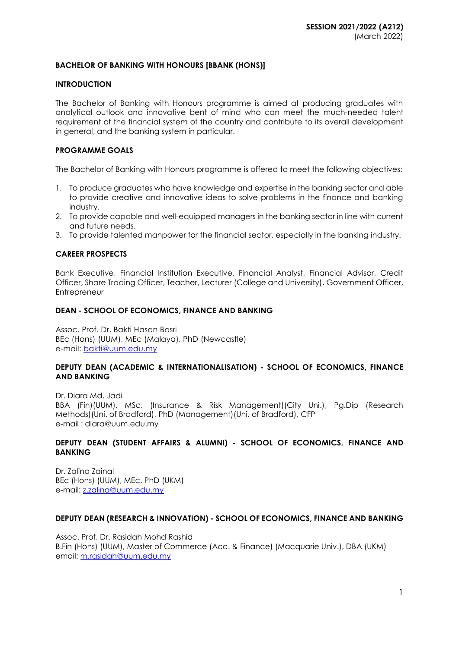# **BACHELOR OF BANKING WITH HONOURS [BBANK (HONS)]**

#### **INTRODUCTION**

The Bachelor of Banking with Honours programme is aimed at producing graduates with analytical outlook and innovative bent of mind who can meet the much-needed talent requirement of the financial system of the country and contribute to its overall development in general, and the banking system in particular.

#### **PROGRAMME GOALS**

The Bachelor of Banking with Honours programme is offered to meet the following objectives:

- 1. To produce graduates who have knowledge and expertise in the banking sector and able to provide creative and innovative ideas to solve problems in the finance and banking industry.
- 2. To provide capable and well-equipped managers in the banking sector in line with current and future needs.
- 3. To provide talented manpower for the financial sector, especially in the banking industry.

#### **CAREER PROSPECTS**

Bank Executive, Financial Institution Executive, Financial Analyst, Financial Advisor, Credit Officer, Share Trading Officer, Teacher, Lecturer (College and University), Government Officer, **Entrepreneur** 

#### **DEAN - SCHOOL OF ECONOMICS, FINANCE AND BANKING**

Assoc. Prof. Dr. Bakti Hasan Basri BEc (Hons) (UUM), MEc (Malaya), PhD (Newcastle) e-mail: [bakti@uum.edu.my](mailto:bakti@uum.edu.my)

#### **DEPUTY DEAN (ACADEMIC & INTERNATIONALISATION) - SCHOOL OF ECONOMICS, FINANCE AND BANKING**

Dr. Diara Md. Jadi BBA (Fin)(UUM), MSc. (Insurance & Risk Management)(City Uni.), Pg.Dip (Research Methods)(Uni. of Bradford), PhD (Management)(Uni. of Bradford), CFP e-mail : [diara@uum.edu.my](mailto:diara@uum.edu.my)

#### **DEPUTY DEAN (STUDENT AFFAIRS & ALUMNI) - SCHOOL OF ECONOMICS, FINANCE AND BANKING**

Dr. Zalina Zainal BEc (Hons) (UUM), MEc, PhD (UKM) e-mail: [z.zalina@uum.edu.my](mailto:z.zalina@uum.edu.my)

#### **DEPUTY DEAN (RESEARCH & INNOVATION) - SCHOOL OF ECONOMICS, FINANCE AND BANKING**

Assoc. Prof. Dr. Rasidah Mohd Rashid B.Fin (Hons) (UUM), Master of Commerce (Acc. & Finance) (Macquarie Univ.), DBA (UKM) email: [m.rasidah@uum.edu.my](mailto:m.rasidah@uum.edu.my)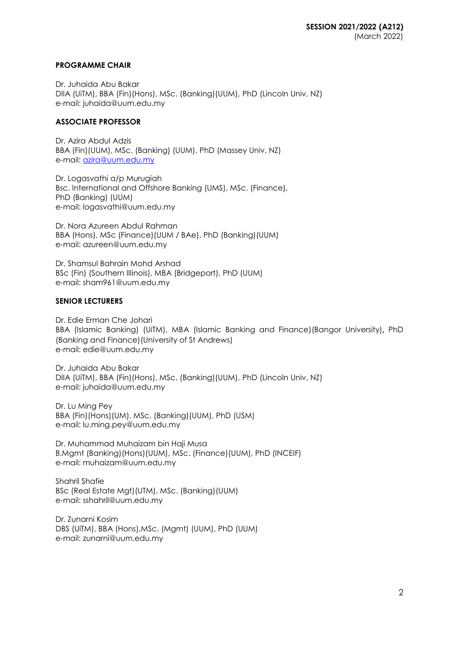#### **PROGRAMME CHAIR**

Dr. Juhaida Abu Bakar DIIA (UiTM), BBA (Fin)(Hons), MSc. (Banking)(UUM), PhD (Lincoln Univ, NZ) e-mail: juhaida@uum.edu.my

#### **ASSOCIATE PROFESSOR**

Dr. Azira Abdul Adzis BBA (Fin)(UUM), MSc. (Banking) (UUM), PhD (Massey Univ, NZ) e-mail: [azira@uum.edu.my](mailto:azira@uum.edu.my)

Dr. Logasvathi a/p Murugiah Bsc. International and Offshore Banking (UMS), MSc. (Finance), PhD (Banking) (UUM) e-mail: [logasvathi@uum.edu.my](mailto:logasvathi@uum.edu.my)

Dr. Nora Azureen Abdul Rahman BBA (Hons), MSc (Finance)(UUM / BAe), PhD (Banking)(UUM) e-mail: [azureen@uum.edu.my](mailto:azureen@uum.edu.my)

Dr. Shamsul Bahrain Mohd Arshad BSc (Fin) (Southern IIIinois), MBA (Bridgeport), PhD (UUM) e-mail: [sham961@uum.edu.my](mailto:sham961@uum.edu.my)

#### **SENIOR LECTURERS**

Dr. Edie Erman Che Johari BBA (Islamic Banking) (UiTM), MBA (Islamic Banking and Finance)(Bangor University), PhD (Banking and Finance)(University of St Andrews) e-mail: edie@uum.edu.my

Dr. Juhaida Abu Bakar DIIA (UiTM), BBA (Fin)(Hons), MSc. (Banking)(UUM), PhD (Lincoln Univ, NZ) e-mail: juhaida@uum.edu.my

Dr. Lu Ming Pey BBA (Fin)(Hons)(UM), MSc. (Banking)(UUM), PhD (USM) e-mail: [lu.ming.pey@uum.edu.my](mailto:lu.ming.pey@uum.edu.my)

Dr. Muhammad Muhaizam bin Haji Musa B.Mgmt (Banking)(Hons)(UUM), MSc. (Finance)(UUM), PhD (INCEIF) e-mail: [muhaizam@uum.edu.my](https://uummail.uum.edu.my/OWA/redir.aspx?C=316134b06fae444581b2bc670d646f2b&URL=mailto%3amuhaizam%40uum.edu.my)

Shahril Shafie BSc (Real Estate Mgt)(UTM), MSc. (Banking)(UUM) e-mail: [sshahril@uum.edu.my](mailto:sshahril@uum.edu.my)

Dr. Zunarni Kosim DBS (UiTM), BBA (Hons),MSc. (Mgmt) (UUM), PhD (UUM) e-mail: zunarni@uum.edu.my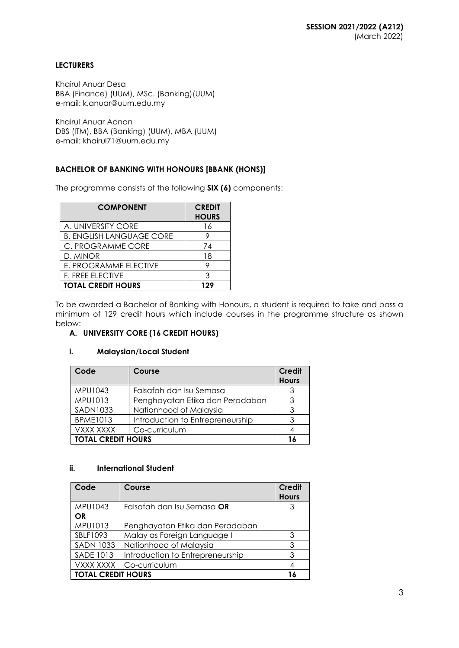# **LECTURERS**

Khairul Anuar Desa BBA (Finance) (UUM), MSc. (Banking)(UUM) e-mail: k.anuar@uum.edu.my

Khairul Anuar Adnan DBS (ITM), BBA (Banking) (UUM), MBA (UUM) e-mail: khairul71@uum.edu.my

# **BACHELOR OF BANKING WITH HONOURS [BBANK (HONS)]**

The programme consists of the following **SIX (6)** components:

| <b>COMPONENT</b>                | <b>CREDIT</b><br><b>HOURS</b> |
|---------------------------------|-------------------------------|
| A. UNIVERSITY CORE              | 16                            |
| <b>B. ENGLISH LANGUAGE CORE</b> | 9                             |
| C. PROGRAMME CORE               | 74                            |
| D. MINOR                        | 18                            |
| E. PROGRAMME ELECTIVE           | 9                             |
| <b>F. FREE ELECTIVE</b>         | ঽ                             |
| <b>TOTAL CREDIT HOURS</b>       | 129                           |

To be awarded a Bachelor of Banking with Honours, a student is required to take and pass a minimum of 129 credit hours which include courses in the programme structure as shown below:

# **A. UNIVERSITY CORE (16 CREDIT HOURS)**

#### **i. Malaysian/Local Student**

| Code                      | Course                           | Credit<br><b>Hours</b> |
|---------------------------|----------------------------------|------------------------|
| MPU1043                   | Falsafah dan Isu Semasa          |                        |
| MPU1013                   | Penghayatan Etika dan Peradaban  |                        |
| <b>SADN1033</b>           | Nationhood of Malaysia           |                        |
| <b>BPME1013</b>           | Introduction to Entrepreneurship | 3                      |
| VXXX XXXX                 | Co-curriculum                    |                        |
| <b>TOTAL CREDIT HOURS</b> |                                  |                        |

# **ii. International Student**

| Code                      | Course                           | Credit<br><b>Hours</b> |
|---------------------------|----------------------------------|------------------------|
| MPU1043                   | Falsafah dan Isu Semasa OR       | 3                      |
| <b>OR</b>                 |                                  |                        |
| MPU1013                   | Penghayatan Etika dan Peradaban  |                        |
| SBLF1093                  | Malay as Foreign Language I      | 3                      |
| <b>SADN 1033</b>          | Nationhood of Malaysia           | 3                      |
| <b>SADE 1013</b>          | Introduction to Entrepreneurship | 3                      |
| VXXX XXXX                 | Co-curriculum                    |                        |
| <b>TOTAL CREDIT HOURS</b> |                                  |                        |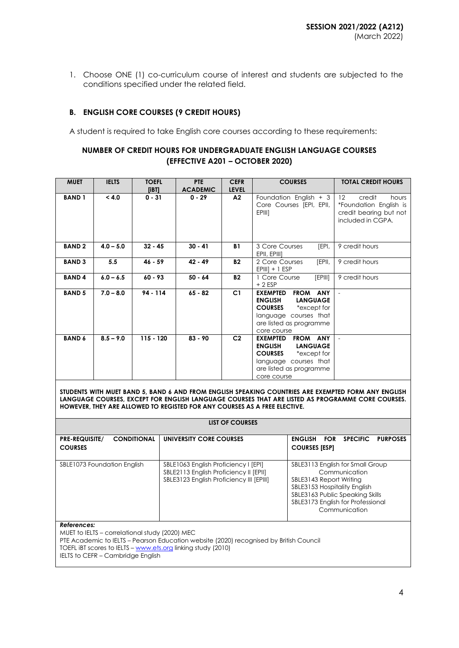1. Choose ONE (1) co-curriculum course of interest and students are subjected to the conditions specified under the related field.

# **B. ENGLISH CORE COURSES (9 CREDIT HOURS)**

A student is required to take English core courses according to these requirements:

# **NUMBER OF CREDIT HOURS FOR UNDERGRADUATE ENGLISH LANGUAGE COURSES (EFFECTIVE A201 – OCTOBER 2020)**

| <b>MUET</b>   | <b>IELTS</b> | <b>TOEFL</b><br>[iBT] | <b>PTE</b><br><b>ACADEMIC</b> | <b>CEFR</b><br><b>LEVEL</b> | <b>COURSES</b>                                                                                                                                                              | <b>TOTAL CREDIT HOURS</b>                                                                                     |
|---------------|--------------|-----------------------|-------------------------------|-----------------------------|-----------------------------------------------------------------------------------------------------------------------------------------------------------------------------|---------------------------------------------------------------------------------------------------------------|
| <b>BAND1</b>  | < 4.0        | $0 - 31$              | $0 - 29$                      | A2                          | Foundation English $+3$<br>Core Courses [EPI, EPII,<br>EPIII]                                                                                                               | $12 \overline{ }$<br>credit<br>hours<br>*Foundation English is<br>credit bearing but not<br>included in CGPA. |
| <b>BAND2</b>  | $4.0 - 5.0$  | $32 - 45$             | $30 - 41$                     | <b>B1</b>                   | [EPI,<br>3 Core Courses<br>EPII, EPIII]                                                                                                                                     | 9 credit hours                                                                                                |
| <b>BAND 3</b> | 5.5          | $46 - 59$             | $42 - 49$                     | <b>B2</b>                   | [EPII,<br>2 Core Courses<br>$EPIIII$ + 1 $ESP$                                                                                                                              | 9 credit hours                                                                                                |
| <b>BAND4</b>  | $6.0 - 6.5$  | $60 - 93$             | $50 - 64$                     | <b>B2</b>                   | [EPIII]<br>1 Core Course<br>$+2$ ESP                                                                                                                                        | 9 credit hours                                                                                                |
| <b>BAND 5</b> | $7.0 - 8.0$  | $94 - 114$            | $65 - 82$                     | C1                          | FROM ANY<br><b>EXEMPTED</b><br><b>ENGLISH</b><br><b>LANGUAGE</b><br><b>COURSES</b><br>*except for<br>language courses that<br>are listed as programme<br>core course        |                                                                                                               |
| <b>BAND 6</b> | $8.5 - 9.0$  | $115 - 120$           | $83 - 90$                     | C <sub>2</sub>              | <b>EXEMPTED</b><br><b>FROM ANY</b><br><b>ENGLISH</b><br><b>LANGUAGE</b><br><b>COURSES</b><br>*except for<br>language courses that<br>are listed as programme<br>core course |                                                                                                               |

**STUDENTS WITH MUET BAND 5, BAND 6 AND FROM ENGLISH SPEAKING COUNTRIES ARE EXEMPTED FORM ANY ENGLISH LANGUAGE COURSES, EXCEPT FOR ENGLISH LANGUAGE COURSES THAT ARE LISTED AS PROGRAMME CORE COURSES. HOWEVER, THEY ARE ALLOWED TO REGISTED FOR ANY COURSES AS A FREE ELECTIVE.**

| LIST OF COURSES                                               |                                                                                                                            |                                                                                                                                                                                                       |  |  |  |
|---------------------------------------------------------------|----------------------------------------------------------------------------------------------------------------------------|-------------------------------------------------------------------------------------------------------------------------------------------------------------------------------------------------------|--|--|--|
| <b>CONDITIONAL</b><br><b>PRE-REQUISITE/</b><br><b>COURSES</b> | UNIVERSITY CORE COURSES                                                                                                    | <b>ENGLISH</b><br><b>SPECIFIC</b><br><b>FOR</b><br><b>PURPOSES</b><br><b>COURSES [ESP]</b>                                                                                                            |  |  |  |
| SBLE1073 Foundation English                                   | SBLE1063 English Proficiency I [EPI]<br>SBLE2113 English Proficiency II [EPII]<br>SBLE3123 English Proficiency III [EPIII] | SBLE3113 English for Small Group<br>Communication<br>SBLE3143 Report Writing<br>SBLE3153 Hospitality English<br>SBLE3163 Public Speaking Skills<br>SBLE3173 English for Professional<br>Communication |  |  |  |
| References:                                                   |                                                                                                                            |                                                                                                                                                                                                       |  |  |  |

MUET to IELTS – correlational study (2020) MEC

PTE Academic to IELTS – Pearson Education website (2020) recognised by British Council

TOEFL iBT scores to IELTS – [www.ets.org](http://www.ets.org/) linking study (2010)

IELTS to CEFR - Cambridge English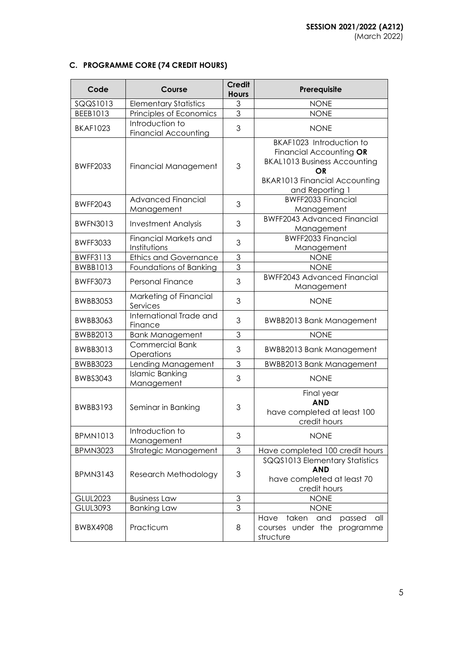# **C. PROGRAMME CORE (74 CREDIT HOURS)**

| Code            | Course                                         | <b>Credit</b><br><b>Hours</b>                                                                          | Prerequisite                                                                                                                                                |
|-----------------|------------------------------------------------|--------------------------------------------------------------------------------------------------------|-------------------------------------------------------------------------------------------------------------------------------------------------------------|
| SQQS1013        | <b>Elementary Statistics</b>                   | $\mathfrak{Z}$                                                                                         | <b>NONE</b>                                                                                                                                                 |
| BEEB1013        | Principles of Economics                        | 3                                                                                                      | <b>NONE</b>                                                                                                                                                 |
| <b>BKAF1023</b> | Introduction to<br><b>Financial Accounting</b> | 3                                                                                                      | <b>NONE</b>                                                                                                                                                 |
| <b>BWFF2033</b> | <b>Financial Management</b>                    | 3                                                                                                      | BKAF1023 Introduction to<br>Financial Accounting OR<br><b>BKAL1013 Business Accounting</b><br>OR<br><b>BKAR1013 Financial Accounting</b><br>and Reporting 1 |
| <b>BWFF2043</b> | <b>Advanced Financial</b><br>Management        | 3                                                                                                      | <b>BWFF2033 Financial</b><br>Management                                                                                                                     |
| <b>BWFN3013</b> | <b>Investment Analysis</b>                     | 3                                                                                                      | <b>BWFF2043 Advanced Financial</b><br>Management                                                                                                            |
| <b>BWFF3033</b> | <b>Financial Markets and</b><br>Institutions   | 3                                                                                                      | <b>BWFF2033 Financial</b><br>Management                                                                                                                     |
| <b>BWFF3113</b> | <b>Ethics and Governance</b>                   | 3                                                                                                      | <b>NONE</b>                                                                                                                                                 |
| <b>BWBB1013</b> | Foundations of Banking                         | $\overline{3}$                                                                                         | <b>NONE</b>                                                                                                                                                 |
| <b>BWFF3073</b> | <b>Personal Finance</b>                        | 3                                                                                                      | <b>BWFF2043 Advanced Financial</b><br>Management                                                                                                            |
| <b>BWBB3053</b> | Marketing of Financial<br>Services             | 3                                                                                                      | <b>NONE</b>                                                                                                                                                 |
| <b>BWBB3063</b> | International Trade and<br>Finance             | 3                                                                                                      | <b>BWBB2013 Bank Management</b>                                                                                                                             |
| BWBB2013        | <b>Bank Management</b>                         | $\mathfrak{S}% _{A}^{\ast}=\mathfrak{S}_{A}\!\left( A;B\right) ,\ \mathfrak{S}_{A}\!\left( A;B\right)$ | <b>NONE</b>                                                                                                                                                 |
| BWBB3013        | <b>Commercial Bank</b><br>Operations           | 3                                                                                                      | <b>BWBB2013 Bank Management</b>                                                                                                                             |
| <b>BWBB3023</b> | <b>Lending Management</b>                      | $\mathfrak 3$                                                                                          | <b>BWBB2013 Bank Management</b>                                                                                                                             |
| <b>BWBS3043</b> | <b>Islamic Banking</b><br>Management           | 3                                                                                                      | <b>NONE</b>                                                                                                                                                 |
| <b>BWBB3193</b> | Seminar in Banking                             | $\mathfrak{S}$                                                                                         | Final year<br><b>AND</b><br>have completed at least 100<br>credit hours                                                                                     |
| <b>BPMN1013</b> | Introduction to<br>Management                  | 3                                                                                                      | <b>NONE</b>                                                                                                                                                 |
| <b>BPMN3023</b> | Strategic Management                           | 3                                                                                                      | Have completed 100 credit hours                                                                                                                             |
| <b>BPMN3143</b> | Research Methodology                           | $\mathfrak 3$                                                                                          | SQQS1013 Elementary Statistics<br><b>AND</b><br>have completed at least 70<br>credit hours                                                                  |
| <b>GLUL2023</b> | <b>Business Law</b>                            | $\mathfrak{S}% _{C}=\mathfrak{S}_{C}^{\ast }$                                                          | <b>NONE</b>                                                                                                                                                 |
| GLUL3093        | <b>Banking Law</b>                             | 3                                                                                                      | <b>NONE</b>                                                                                                                                                 |
| <b>BWBX4908</b> | Practicum                                      | 8                                                                                                      | taken<br>Have<br>and<br>passed<br>all<br>courses under the<br>programme<br>structure                                                                        |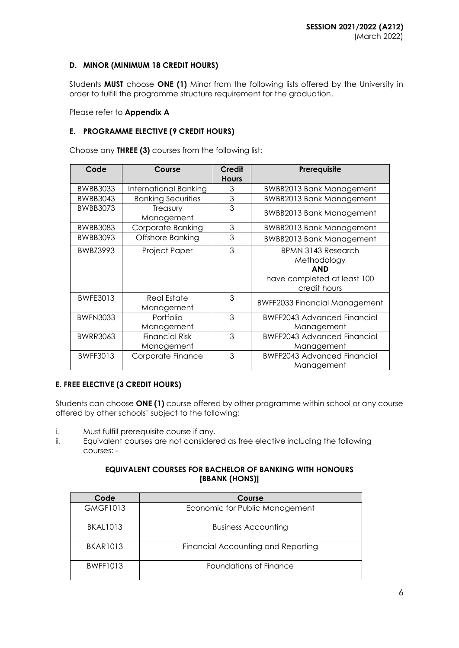# **D. MINOR (MINIMUM 18 CREDIT HOURS)**

Students **MUST** choose **ONE (1)** Minor from the following lists offered by the University in order to fulfill the programme structure requirement for the graduation.

Please refer to **Appendix A**

### **E. PROGRAMME ELECTIVE (9 CREDIT HOURS)**

Choose any **THREE (3)** courses from the following list:

| Code            | Course                              | <b>Credit</b><br><b>Hours</b> | Prerequisite                                                                                          |
|-----------------|-------------------------------------|-------------------------------|-------------------------------------------------------------------------------------------------------|
| <b>BWBB3033</b> | International Banking               | 3                             | <b>BWBB2013 Bank Management</b>                                                                       |
| <b>BWBB3043</b> | <b>Banking Securities</b>           | 3                             | <b>BWBB2013 Bank Management</b>                                                                       |
| <b>BWBB3073</b> | Treasury<br>Management              | 3                             | <b>BWBB2013 Bank Management</b>                                                                       |
| <b>BWBB3083</b> | Corporate Banking                   | 3                             | <b>BWBB2013 Bank Management</b>                                                                       |
| <b>BWBB3093</b> | Offshore Banking                    | 3                             | <b>BWBB2013 Bank Management</b>                                                                       |
| BWBZ3993        | Project Paper                       | 3                             | <b>BPMN 3143 Research</b><br>Methodology<br><b>AND</b><br>have completed at least 100<br>credit hours |
| <b>BWFE3013</b> | <b>Real Estate</b><br>Management    | 3                             | <b>BWFF2033 Financial Management</b>                                                                  |
| <b>BWFN3033</b> | Portfolio<br>Management             | 3                             | <b>BWFF2043 Advanced Financial</b><br>Management                                                      |
| <b>BWRR3063</b> | <b>Financial Risk</b><br>Management | 3                             | <b>BWFF2043 Advanced Financial</b><br>Management                                                      |
| <b>BWFF3013</b> | Corporate Finance                   | 3                             | <b>BWFF2043 Advanced Financial</b><br>Management                                                      |

#### **E. FREE ELECTIVE (3 CREDIT HOURS)**

Students can choose **ONE (1)** course offered by other programme within school or any course offered by other schools' subject to the following:

- i. Must fulfill prerequisite course if any.
- ii. Equivalent courses are not considered as free elective including the following courses: -

### **EQUIVALENT COURSES FOR BACHELOR OF BANKING WITH HONOURS [BBANK (HONS)]**

| Code            | Course                             |
|-----------------|------------------------------------|
| <b>GMGF1013</b> | Economic for Public Management     |
| <b>BKAL1013</b> | <b>Business Accounting</b>         |
| <b>BKAR1013</b> | Financial Accounting and Reporting |
| <b>BWFF1013</b> | Foundations of Finance             |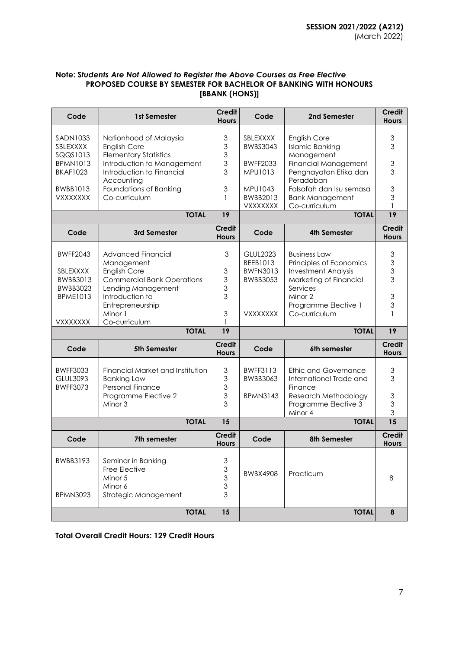#### **Note: S***tudents Are Not Allowed to Register the Above Courses as Free Elective* **PROPOSED COURSE BY SEMESTER FOR BACHELOR OF BANKING WITH HONOURS [BBANK (HONS)]**

| Code                                                                          | 1st Semester                                                                                                                                           | <b>Credit</b><br><b>Hours</b>                   | Code                                                              | 2nd Semester                                                                                                                  | <b>Credit</b><br><b>Hours</b>     |
|-------------------------------------------------------------------------------|--------------------------------------------------------------------------------------------------------------------------------------------------------|-------------------------------------------------|-------------------------------------------------------------------|-------------------------------------------------------------------------------------------------------------------------------|-----------------------------------|
| SADN1033<br>SBLEXXXX<br>SQQS1013<br><b>BPMN1013</b><br><b>BKAF1023</b>        | Nationhood of Malaysia<br><b>English Core</b><br><b>Elementary Statistics</b><br>Introduction to Management<br>Introduction to Financial<br>Accounting | 3<br>3<br>3<br>3<br>3                           | SBLEXXXX<br>BWBS3043<br><b>BWFF2033</b><br><b>MPU1013</b>         | <b>English Core</b><br><b>Islamic Banking</b><br>Management<br>Financial Management<br>Penghayatan Etika dan<br>Peradaban     | $\mathfrak 3$<br>3<br>3<br>3      |
| <b>BWBB1013</b><br><b>VXXXXXXX</b>                                            | Foundations of Banking<br>Co-curriculum                                                                                                                | $\ensuremath{\mathsf{3}}$<br>1                  | MPU1043<br>BWBB2013<br><b>VXXXXXXX</b>                            | Falsafah dan Isu semasa<br><b>Bank Management</b><br>Co-curriculum                                                            | 3<br>3                            |
|                                                                               | <b>TOTAL</b>                                                                                                                                           | 19                                              |                                                                   | <b>TOTAL</b>                                                                                                                  | 19                                |
| Code                                                                          | 3rd Semester                                                                                                                                           | <b>Credit</b><br><b>Hours</b>                   | Code                                                              | 4th Semester                                                                                                                  | <b>Credit</b><br><b>Hours</b>     |
| <b>BWFF2043</b><br>SBLEXXXX<br>BWBB3013<br><b>BWBB3023</b><br><b>BPME1013</b> | Advanced Financial<br>Management<br><b>English Core</b><br><b>Commercial Bank Operations</b><br>Lending Management<br>Introduction to                  | 3<br>3<br>3<br>3<br>3                           | <b>GLUL2023</b><br>BEEB1013<br><b>BWFN3013</b><br><b>BWBB3053</b> | <b>Business Law</b><br>Principles of Economics<br><b>Investment Analysis</b><br>Marketing of Financial<br>Services<br>Minor 2 | $\mathfrak 3$<br>3<br>3<br>3<br>3 |
| VXXXXXXX                                                                      | Entrepreneurship<br>Minor 1<br>Co-curriculum                                                                                                           | $\ensuremath{\mathsf{3}}$                       | <b>VXXXXXXX</b>                                                   | Programme Elective 1<br>Co-curriculum                                                                                         | 3                                 |
|                                                                               | <b>TOTAL</b>                                                                                                                                           | 19                                              |                                                                   | <b>TOTAL</b>                                                                                                                  | 19                                |
| Code                                                                          | 5th Semester                                                                                                                                           | <b>Credit</b><br><b>Hours</b>                   | Code                                                              | 6th semester                                                                                                                  | <b>Credit</b><br><b>Hours</b>     |
| <b>BWFF3033</b><br>GLUL3093<br><b>BWFF3073</b>                                | Financial Market and Institution<br><b>Banking Law</b><br><b>Personal Finance</b><br>Programme Elective 2<br>Minor 3                                   | 3<br>3<br>3<br>3<br>3                           | <b>BWFF3113</b><br><b>BWBB3063</b><br><b>BPMN3143</b>             | Ethic and Governance<br>International Trade and<br>Finance<br>Research Methodology<br>Programme Elective 3<br>Minor 4         | 3<br>3<br>3<br>3<br>3             |
|                                                                               | <b>TOTAL</b>                                                                                                                                           | 15                                              |                                                                   | <b>TOTAL</b>                                                                                                                  | $\overline{15}$                   |
| Code                                                                          | 7th semester                                                                                                                                           | <b>Credit</b><br><b>Hours</b>                   | Code                                                              | <b>8th Semester</b>                                                                                                           | Credit<br><b>Hours</b>            |
| BWBB3193<br><b>BPMN3023</b>                                                   | Seminar in Banking<br>Free Elective<br>Minor 5<br>Minor 6<br>Strategic Management                                                                      | 3<br>$\mathfrak{S}$<br>$\mathfrak{S}$<br>3<br>3 | <b>BWBX4908</b>                                                   | Practicum                                                                                                                     | 8                                 |
|                                                                               | <b>TOTAL</b>                                                                                                                                           | 15                                              |                                                                   | <b>TOTAL</b>                                                                                                                  | 8                                 |

**Total Overall Credit Hours: 129 Credit Hours**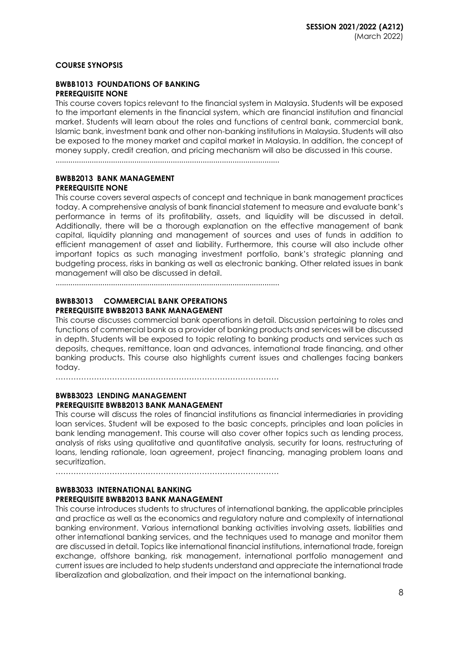### **COURSE SYNOPSIS**

#### **BWBB1013 FOUNDATIONS OF BANKING PREREQUISITE NONE**

This course covers topics relevant to the financial system in Malaysia. Students will be exposed to the important elements in the financial system, which are financial institution and financial market. Students will learn about the roles and functions of central bank, commercial bank, Islamic bank, investment bank and other non-banking institutions in Malaysia. Students will also be exposed to the money market and capital market in Malaysia. In addition, the concept of money supply, credit creation, and pricing mechanism will also be discussed in this course.

.........................................................................................................

#### **BWBB2013 BANK MANAGEMENT PREREQUISITE NONE**

This course covers several aspects of concept and technique in bank management practices today. A comprehensive analysis of bank financial statement to measure and evaluate bank's performance in terms of its profitability, assets, and liquidity will be discussed in detail. Additionally, there will be a thorough explanation on the effective management of bank capital, liquidity planning and management of sources and uses of funds in addition to efficient management of asset and liability. Furthermore, this course will also include other important topics as such managing investment portfolio, bank's strategic planning and budgeting process, risks in banking as well as electronic banking. Other related issues in bank management will also be discussed in detail.

.........................................................................................................

#### **BWBB3013 COMMERCIAL BANK OPERATIONS PREREQUISITE BWBB2013 BANK MANAGEMENT**

This course discusses commercial bank operations in detail. Discussion pertaining to roles and functions of commercial bank as a provider of banking products and services will be discussed in depth. Students will be exposed to topic relating to banking products and services such as deposits, cheques, remittance, loan and advances, international trade financing, and other banking products. This course also highlights current issues and challenges facing bankers today.

……………………………………………………………………………

### **BWBB3023 LENDING MANAGEMENT PREREQUISITE BWBB2013 BANK MANAGEMENT**

This course will discuss the roles of financial institutions as financial intermediaries in providing loan services. Student will be exposed to the basic concepts, principles and loan policies in bank lending management. This course will also cover other topics such as lending process, analysis of risks using qualitative and quantitative analysis, security for loans, restructuring of loans, lending rationale, loan agreement, project financing, managing problem loans and securitization.

……………………………………………………………………………

### **BWBB3033 INTERNATIONAL BANKING PREREQUISITE BWBB2013 BANK MANAGEMENT**

This course introduces students to structures of international banking, the applicable principles and practice as well as the economics and regulatory nature and complexity of international banking environment. Various international banking activities involving assets, liabilities and other international banking services, and the techniques used to manage and monitor them are discussed in detail. Topics like international financial institutions, international trade, foreign exchange, offshore banking, risk management, international portfolio management and current issues are included to help students understand and appreciate the international trade liberalization and globalization, and their impact on the international banking.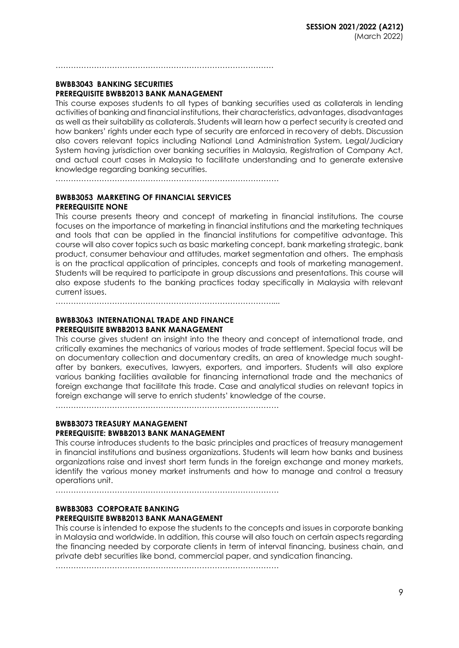#### **BWBB3043 BANKING SECURITIES PREREQUISITE BWBB2013 BANK MANAGEMENT**

This course exposes students to all types of banking securities used as collaterals in lending activities of banking and financial institutions, their characteristics, advantages, disadvantages as well as their suitability as collaterals. Students will learn how a perfect security is created and how bankers' rights under each type of security are enforced in recovery of debts. Discussion also covers relevant topics including National Land Administration System, Legal/Judiciary System having jurisdiction over banking securities in Malaysia, Registration of Company Act, and actual court cases in Malaysia to facilitate understanding and to generate extensive knowledge regarding banking securities.

……………………………………………………………………………

………………………………………………………………………….

#### **BWBB3053 MARKETING OF FINANCIAL SERVICES PREREQUISITE NONE**

This course presents theory and concept of marketing in financial institutions. The course focuses on the importance of marketing in financial institutions and the marketing techniques and tools that can be applied in the financial institutions for competitive advantage. This course will also cover topics such as basic marketing concept, bank marketing strategic, bank product, consumer behaviour and attitudes, market segmentation and others. The emphasis is on the practical application of principles, concepts and tools of marketing management. Students will be required to participate in group discussions and presentations. This course will also expose students to the banking practices today specifically in Malaysia with relevant current issues.

…………………………………………………………………………....

# **BWBB3063 INTERNATIONAL TRADE AND FINANCE**

#### **PREREQUISITE BWBB2013 BANK MANAGEMENT**

This course gives student an insight into the theory and concept of international trade, and critically examines the mechanics of various modes of trade settlement. Special focus will be on documentary collection and documentary credits, an area of knowledge much soughtafter by bankers, executives, lawyers, exporters, and importers. Students will also explore various banking facilities available for financing international trade and the mechanics of foreign exchange that facilitate this trade. Case and analytical studies on relevant topics in foreign exchange will serve to enrich students' knowledge of the course.

……………………………………………………………………………

#### **BWBB3073 TREASURY MANAGEMENT**

# **PREREQUISITE: BWBB2013 BANK MANAGEMENT**

This course introduces students to the basic principles and practices of treasury management in financial institutions and business organizations. Students will learn how banks and business organizations raise and invest short term funds in the foreign exchange and money markets, identify the various money market instruments and how to manage and control a treasury operations unit.

……………………………………………………………………………

#### **BWBB3083 CORPORATE BANKING PREREQUISITE BWBB2013 BANK MANAGEMENT**

This course is intended to expose the students to the concepts and issues in corporate banking in Malaysia and worldwide. In addition, this course will also touch on certain aspects regarding the financing needed by corporate clients in term of interval financing, business chain, and private debt securities like bond, commercial paper, and syndication financing.

……………………………………………………………………………